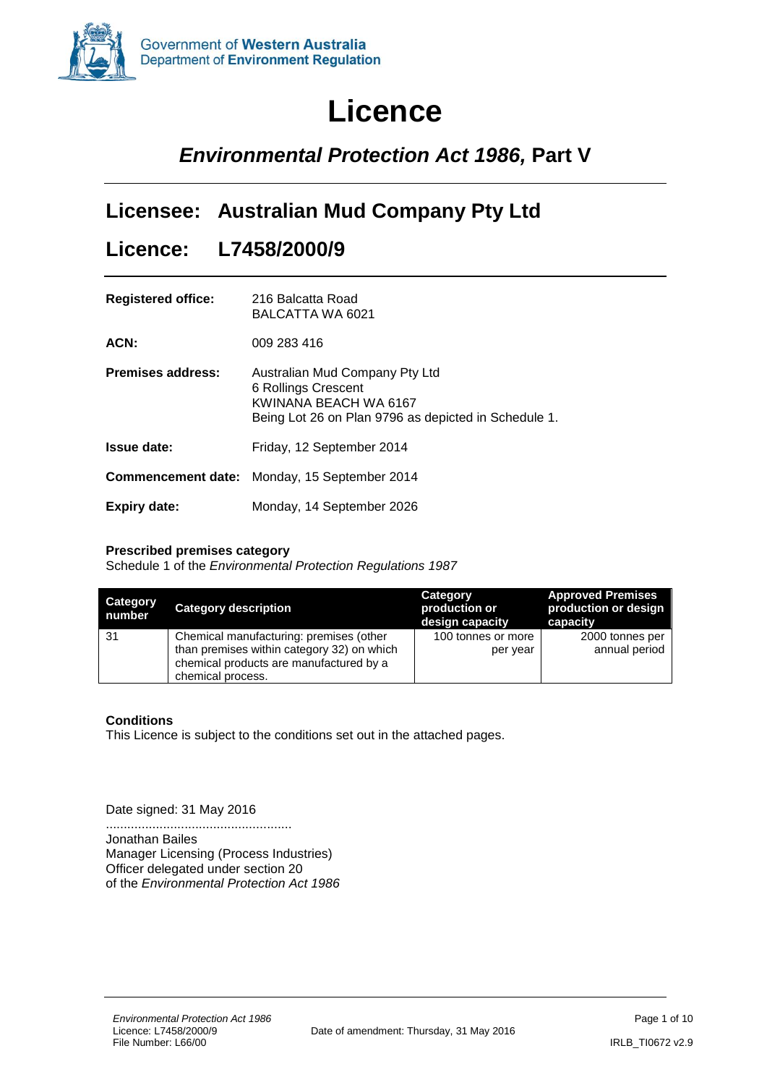

# **Licence**

## *Environmental Protection Act 1986,* **Part V**

### **Licensee: Australian Mud Company Pty Ltd**

### **Licence: L7458/2000/9**

| <b>Registered office:</b> | 216 Balcatta Road<br>BALCATTA WA 6021                                                                                                  |
|---------------------------|----------------------------------------------------------------------------------------------------------------------------------------|
| ACN:                      | 009 283 416                                                                                                                            |
| <b>Premises address:</b>  | Australian Mud Company Pty Ltd<br>6 Rollings Crescent<br>KWINANA BEACH WA 6167<br>Being Lot 26 on Plan 9796 as depicted in Schedule 1. |
| <b>Issue date:</b>        | Friday, 12 September 2014                                                                                                              |
|                           | <b>Commencement date:</b> Monday, 15 September 2014                                                                                    |
| Expiry date:              | Monday, 14 September 2026                                                                                                              |

#### **Prescribed premises category**

Schedule 1 of the *Environmental Protection Regulations 1987*

| Category<br>number | <b>Category description</b>                | <b>Category</b><br>production or<br>design capacity | <b>Approved Premises</b><br>production or design<br>capacity |
|--------------------|--------------------------------------------|-----------------------------------------------------|--------------------------------------------------------------|
| -31                | Chemical manufacturing: premises (other    | 100 tonnes or more                                  | 2000 tonnes per                                              |
|                    | than premises within category 32) on which | per year                                            | annual period                                                |
|                    | chemical products are manufactured by a    |                                                     |                                                              |
|                    | chemical process.                          |                                                     |                                                              |

#### **Conditions**

This Licence is subject to the conditions set out in the attached pages.

Date signed: 31 May 2016

.................................................... Jonathan Bailes Manager Licensing (Process Industries) Officer delegated under section 20 of the *Environmental Protection Act 1986*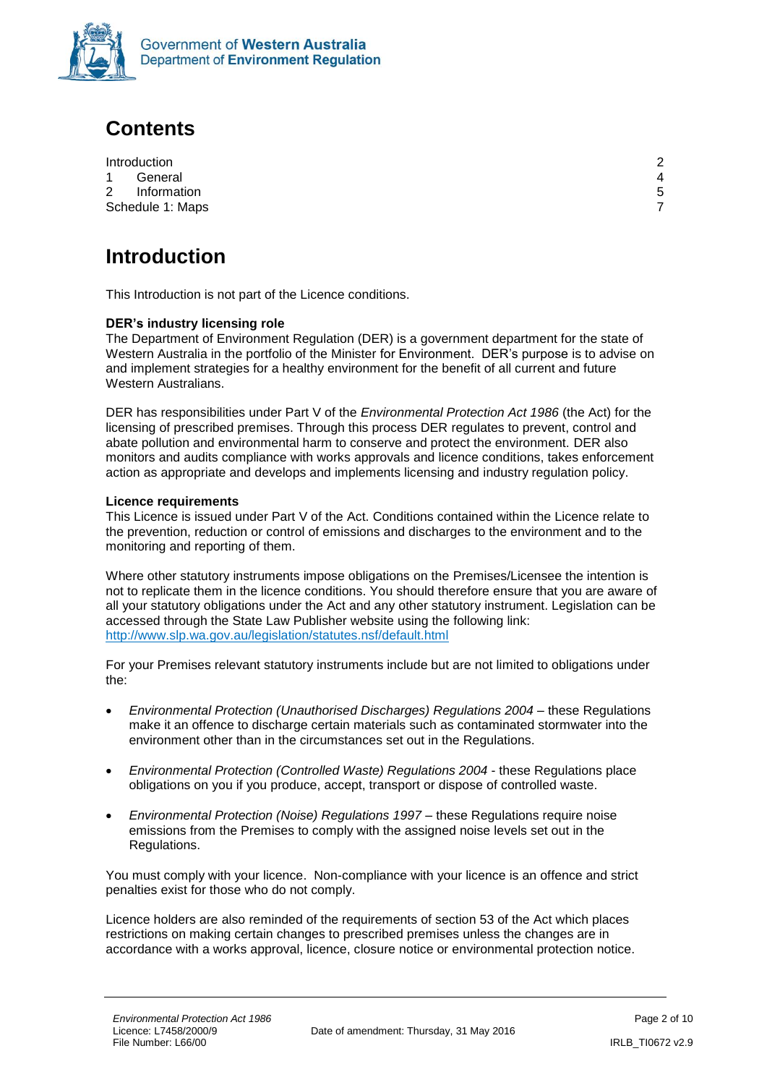

### **Contents**

|           | Introduction     | ◠ |
|-----------|------------------|---|
| $1 \quad$ | General          | Δ |
|           | 2 Information    | 5 |
|           | Schedule 1: Maps |   |

# <span id="page-1-0"></span>**Introduction**

This Introduction is not part of the Licence conditions.

#### **DER's industry licensing role**

The Department of Environment Regulation (DER) is a government department for the state of Western Australia in the portfolio of the Minister for Environment. DER's purpose is to advise on and implement strategies for a healthy environment for the benefit of all current and future Western Australians.

DER has responsibilities under Part V of the *Environmental Protection Act 1986* (the Act) for the licensing of prescribed premises. Through this process DER regulates to prevent, control and abate pollution and environmental harm to conserve and protect the environment. DER also monitors and audits compliance with works approvals and licence conditions, takes enforcement action as appropriate and develops and implements licensing and industry regulation policy.

#### **Licence requirements**

This Licence is issued under Part V of the Act. Conditions contained within the Licence relate to the prevention, reduction or control of emissions and discharges to the environment and to the monitoring and reporting of them.

Where other statutory instruments impose obligations on the Premises/Licensee the intention is not to replicate them in the licence conditions. You should therefore ensure that you are aware of all your statutory obligations under the Act and any other statutory instrument. Legislation can be accessed through the State Law Publisher website using the following link: <http://www.slp.wa.gov.au/legislation/statutes.nsf/default.html>

For your Premises relevant statutory instruments include but are not limited to obligations under the:

- *Environmental Protection (Unauthorised Discharges) Regulations 2004* these Regulations make it an offence to discharge certain materials such as contaminated stormwater into the environment other than in the circumstances set out in the Regulations.
- *Environmental Protection (Controlled Waste) Regulations 2004* these Regulations place obligations on you if you produce, accept, transport or dispose of controlled waste.
- **Environmental Protection (Noise) Regulations 1997 these Regulations require noise** emissions from the Premises to comply with the assigned noise levels set out in the Regulations.

You must comply with your licence. Non-compliance with your licence is an offence and strict penalties exist for those who do not comply.

Licence holders are also reminded of the requirements of section 53 of the Act which places restrictions on making certain changes to prescribed premises unless the changes are in accordance with a works approval, licence, closure notice or environmental protection notice.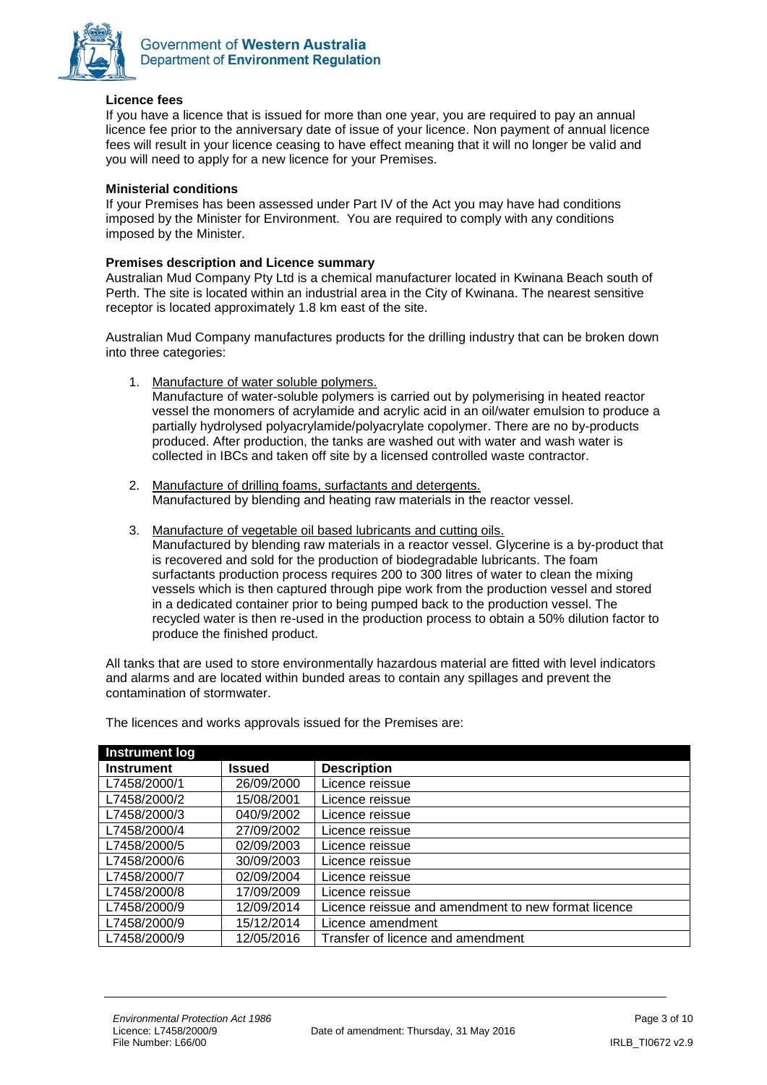

#### **Licence fees**

If you have a licence that is issued for more than one year, you are required to pay an annual licence fee prior to the anniversary date of issue of your licence. Non payment of annual licence fees will result in your licence ceasing to have effect meaning that it will no longer be valid and you will need to apply for a new licence for your Premises.

#### **Ministerial conditions**

If your Premises has been assessed under Part IV of the Act you may have had conditions imposed by the Minister for Environment. You are required to comply with any conditions imposed by the Minister.

#### **Premises description and Licence summary**

Australian Mud Company Pty Ltd is a chemical manufacturer located in Kwinana Beach south of Perth. The site is located within an industrial area in the City of Kwinana. The nearest sensitive receptor is located approximately 1.8 km east of the site.

Australian Mud Company manufactures products for the drilling industry that can be broken down into three categories:

1. Manufacture of water soluble polymers.

Manufacture of water-soluble polymers is carried out by polymerising in heated reactor vessel the monomers of acrylamide and acrylic acid in an oil/water emulsion to produce a partially hydrolysed polyacrylamide/polyacrylate copolymer. There are no by-products produced. After production, the tanks are washed out with water and wash water is collected in IBCs and taken off site by a licensed controlled waste contractor.

- 2. Manufacture of drilling foams, surfactants and detergents. Manufactured by blending and heating raw materials in the reactor vessel.
- 3. Manufacture of vegetable oil based lubricants and cutting oils. Manufactured by blending raw materials in a reactor vessel. Glycerine is a by-product that is recovered and sold for the production of biodegradable lubricants. The foam surfactants production process requires 200 to 300 litres of water to clean the mixing vessels which is then captured through pipe work from the production vessel and stored in a dedicated container prior to being pumped back to the production vessel. The recycled water is then re-used in the production process to obtain a 50% dilution factor to produce the finished product.

All tanks that are used to store environmentally hazardous material are fitted with level indicators and alarms and are located within bunded areas to contain any spillages and prevent the contamination of stormwater.

| <b>Instrument log</b> |            |                                                     |
|-----------------------|------------|-----------------------------------------------------|
| <b>Instrument</b>     | Issued     | <b>Description</b>                                  |
| L7458/2000/1          | 26/09/2000 | Licence reissue                                     |
| L7458/2000/2          | 15/08/2001 | Licence reissue                                     |
| L7458/2000/3          | 040/9/2002 | Licence reissue                                     |
| L7458/2000/4          | 27/09/2002 | Licence reissue                                     |
| L7458/2000/5          | 02/09/2003 | Licence reissue                                     |
| L7458/2000/6          | 30/09/2003 | Licence reissue                                     |
| L7458/2000/7          | 02/09/2004 | Licence reissue                                     |
| L7458/2000/8          | 17/09/2009 | Licence reissue                                     |
| L7458/2000/9          | 12/09/2014 | Licence reissue and amendment to new format licence |
| L7458/2000/9          | 15/12/2014 | Licence amendment                                   |
| L7458/2000/9          | 12/05/2016 | Transfer of licence and amendment                   |

The licences and works approvals issued for the Premises are: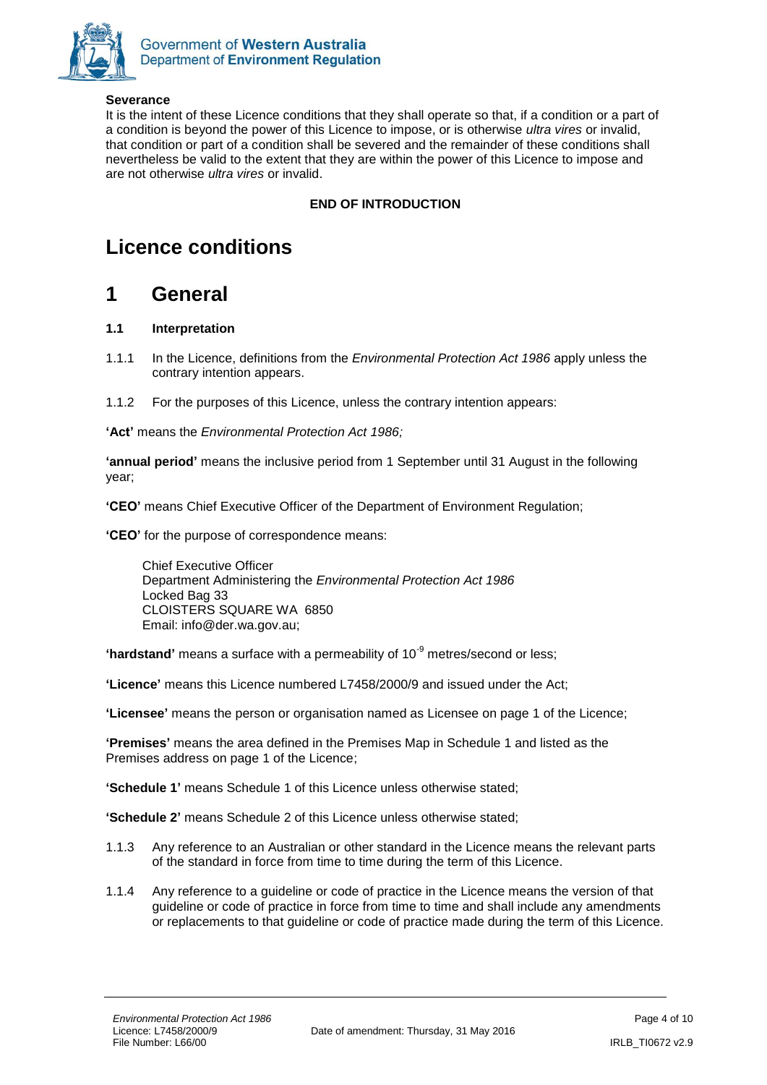

#### **Severance**

It is the intent of these Licence conditions that they shall operate so that, if a condition or a part of a condition is beyond the power of this Licence to impose, or is otherwise *ultra vires* or invalid, that condition or part of a condition shall be severed and the remainder of these conditions shall nevertheless be valid to the extent that they are within the power of this Licence to impose and are not otherwise *ultra vires* or invalid.

#### **END OF INTRODUCTION**

### **Licence conditions**

### <span id="page-3-0"></span>**1 General**

#### **1.1 Interpretation**

- 1.1.1 In the Licence, definitions from the *Environmental Protection Act 1986* apply unless the contrary intention appears.
- 1.1.2 For the purposes of this Licence, unless the contrary intention appears:

**'Act'** means the *Environmental Protection Act 1986;*

**'annual period'** means the inclusive period from 1 September until 31 August in the following year;

**'CEO'** means Chief Executive Officer of the Department of Environment Regulation;

**'CEO'** for the purpose of correspondence means:

Chief Executive Officer Department Administering the *Environmental Protection Act 1986* Locked Bag 33 CLOISTERS SQUARE WA 6850 Email: info@der.wa.gov.au;

**'hardstand'** means a surface with a permeability of 10<sup>-9</sup> metres/second or less;

**'Licence'** means this Licence numbered L7458/2000/9 and issued under the Act;

**'Licensee'** means the person or organisation named as Licensee on page 1 of the Licence;

**'Premises'** means the area defined in the Premises Map in Schedule 1 and listed as the Premises address on page 1 of the Licence;

**'Schedule 1'** means Schedule 1 of this Licence unless otherwise stated;

**'Schedule 2'** means Schedule 2 of this Licence unless otherwise stated;

- 1.1.3 Any reference to an Australian or other standard in the Licence means the relevant parts of the standard in force from time to time during the term of this Licence.
- 1.1.4 Any reference to a guideline or code of practice in the Licence means the version of that guideline or code of practice in force from time to time and shall include any amendments or replacements to that guideline or code of practice made during the term of this Licence.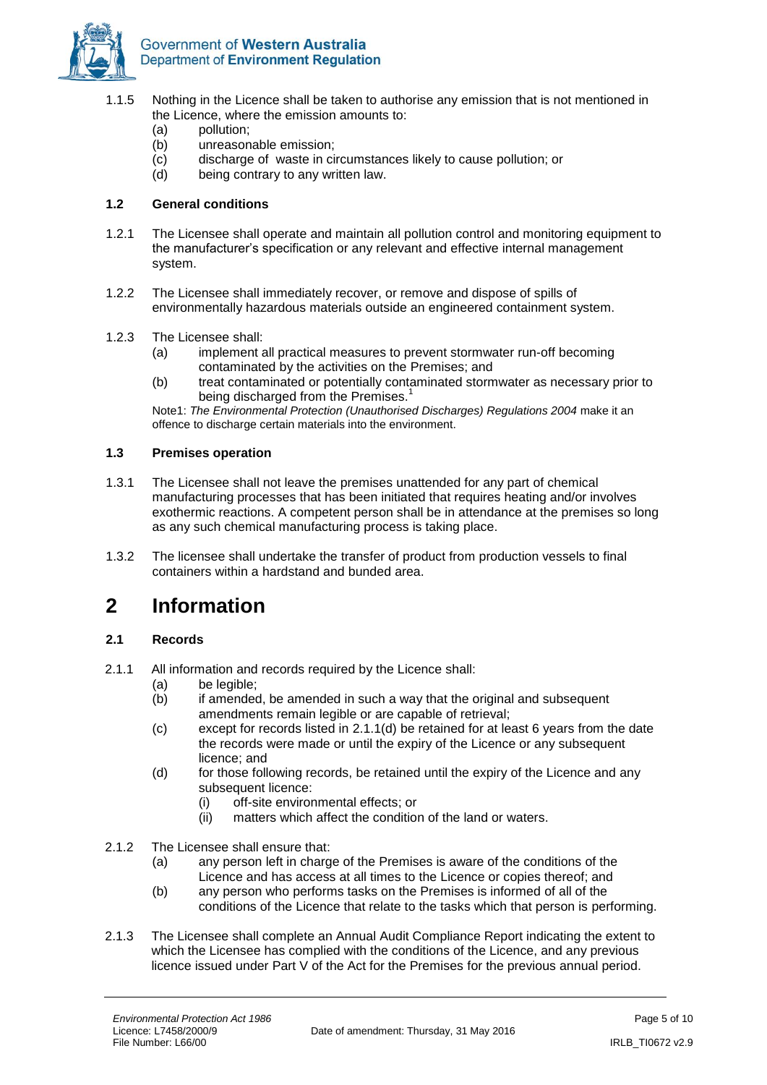

- 1.1.5 Nothing in the Licence shall be taken to authorise any emission that is not mentioned in the Licence, where the emission amounts to:
	- (a) pollution;
	- (b) unreasonable emission;
	- (c) discharge of waste in circumstances likely to cause pollution; or
	- (d) being contrary to any written law.

#### **1.2 General conditions**

- 1.2.1 The Licensee shall operate and maintain all pollution control and monitoring equipment to the manufacturer's specification or any relevant and effective internal management system.
- 1.2.2 The Licensee shall immediately recover, or remove and dispose of spills of environmentally hazardous materials outside an engineered containment system.
- 1.2.3 The Licensee shall:
	- (a) implement all practical measures to prevent stormwater run-off becoming contaminated by the activities on the Premises; and
	- (b) treat contaminated or potentially contaminated stormwater as necessary prior to being discharged from the Premises.<sup>1</sup>

Note1: *The Environmental Protection (Unauthorised Discharges) Regulations 2004* make it an offence to discharge certain materials into the environment.

#### **1.3 Premises operation**

- 1.3.1 The Licensee shall not leave the premises unattended for any part of chemical manufacturing processes that has been initiated that requires heating and/or involves exothermic reactions. A competent person shall be in attendance at the premises so long as any such chemical manufacturing process is taking place.
- 1.3.2 The licensee shall undertake the transfer of product from production vessels to final containers within a hardstand and bunded area.

### <span id="page-4-0"></span>**2 Information**

#### **2.1 Records**

- 2.1.1 All information and records required by the Licence shall:
	- (a) be legible;<br>(b) if amended
	- if amended, be amended in such a way that the original and subsequent amendments remain legible or are capable of retrieval;
	- (c) except for records listed in 2.1.1(d) be retained for at least 6 years from the date the records were made or until the expiry of the Licence or any subsequent licence; and
	- (d) for those following records, be retained until the expiry of the Licence and any subsequent licence:
		- (i) off-site environmental effects; or
		- (ii) matters which affect the condition of the land or waters.
- 2.1.2 The Licensee shall ensure that:
	- (a) any person left in charge of the Premises is aware of the conditions of the Licence and has access at all times to the Licence or copies thereof; and
	- (b) any person who performs tasks on the Premises is informed of all of the conditions of the Licence that relate to the tasks which that person is performing.
- 2.1.3 The Licensee shall complete an Annual Audit Compliance Report indicating the extent to which the Licensee has complied with the conditions of the Licence, and any previous licence issued under Part V of the Act for the Premises for the previous annual period.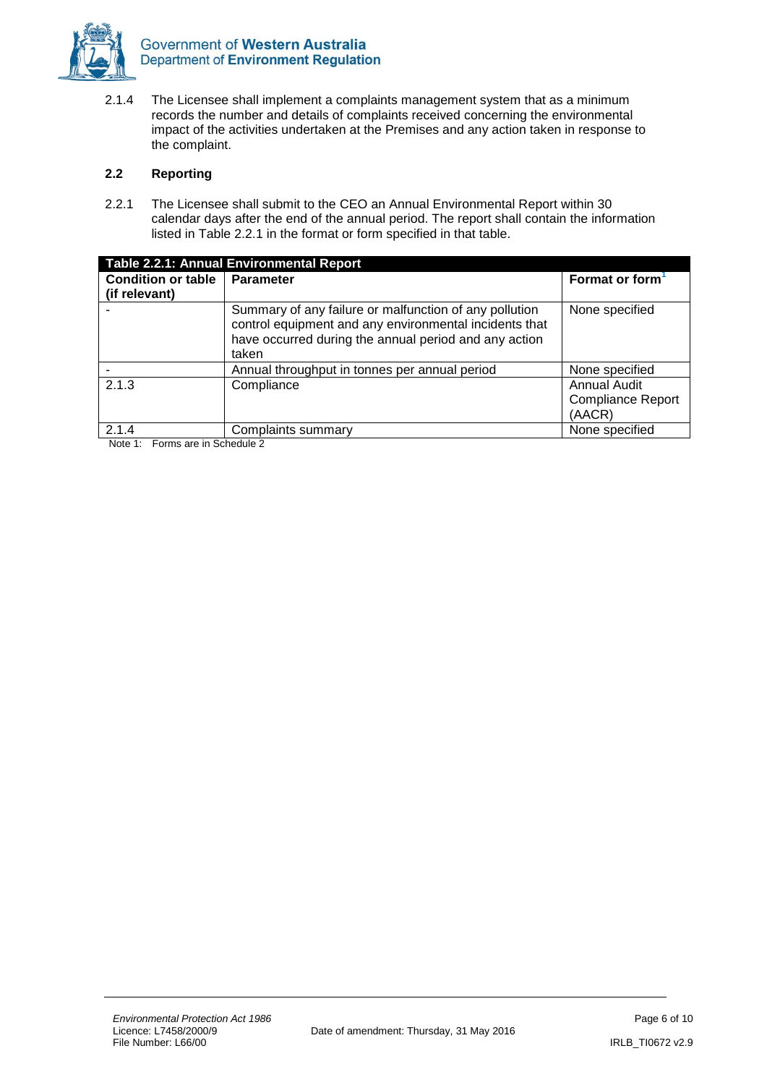

2.1.4 The Licensee shall implement a complaints management system that as a minimum records the number and details of complaints received concerning the environmental impact of the activities undertaken at the Premises and any action taken in response to the complaint.

#### **2.2 Reporting**

2.2.1 The Licensee shall submit to the CEO an Annual Environmental Report within 30 calendar days after the end of the annual period. The report shall contain the information listed in Table 2.2.1 in the format or form specified in that table.

| Table 2.2.1: Annual Environmental Report |                                                                                                                                                                                    |                                                    |  |  |  |
|------------------------------------------|------------------------------------------------------------------------------------------------------------------------------------------------------------------------------------|----------------------------------------------------|--|--|--|
| <b>Condition or table</b>                | <b>Parameter</b>                                                                                                                                                                   | Format or form                                     |  |  |  |
| (if relevant)                            |                                                                                                                                                                                    |                                                    |  |  |  |
|                                          | Summary of any failure or malfunction of any pollution<br>control equipment and any environmental incidents that<br>have occurred during the annual period and any action<br>taken | None specified                                     |  |  |  |
|                                          | Annual throughput in tonnes per annual period                                                                                                                                      | None specified                                     |  |  |  |
| 2.1.3                                    | Compliance                                                                                                                                                                         | Annual Audit<br><b>Compliance Report</b><br>(AACR) |  |  |  |
| 2.1.4                                    | Complaints summary<br>.                                                                                                                                                            | None specified                                     |  |  |  |

Note 1: Forms are in Schedule 2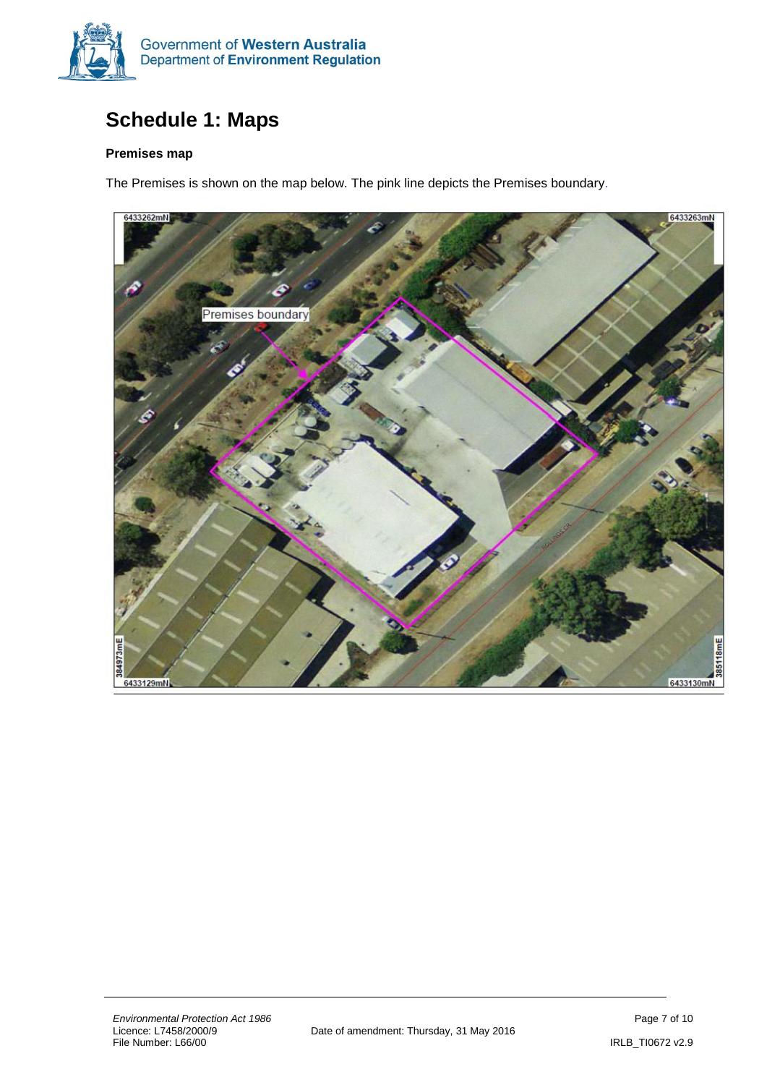

# <span id="page-6-0"></span>**Schedule 1: Maps**

#### **Premises map**

The Premises is shown on the map below. The pink line depicts the Premises boundary.

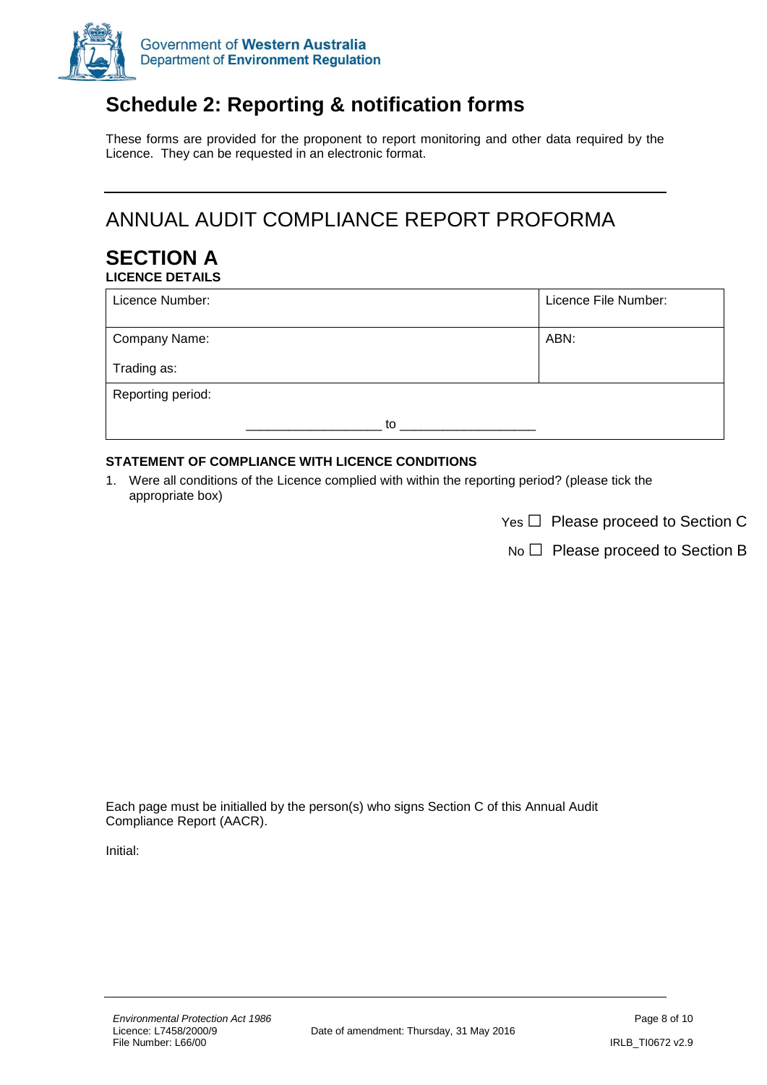

# **Schedule 2: Reporting & notification forms**

These forms are provided for the proponent to report monitoring and other data required by the Licence. They can be requested in an electronic format.

# ANNUAL AUDIT COMPLIANCE REPORT PROFORMA

#### **SECTION A LICENCE DETAILS**

| Licence Number:   | Licence File Number: |
|-------------------|----------------------|
| Company Name:     | ABN:                 |
| Trading as:       |                      |
| Reporting period: |                      |
| to                |                      |

#### **STATEMENT OF COMPLIANCE WITH LICENCE CONDITIONS**

1. Were all conditions of the Licence complied with within the reporting period? (please tick the appropriate box)

Yes □ Please proceed to Section C

No □ Please proceed to Section B

Each page must be initialled by the person(s) who signs Section C of this Annual Audit Compliance Report (AACR).

Initial: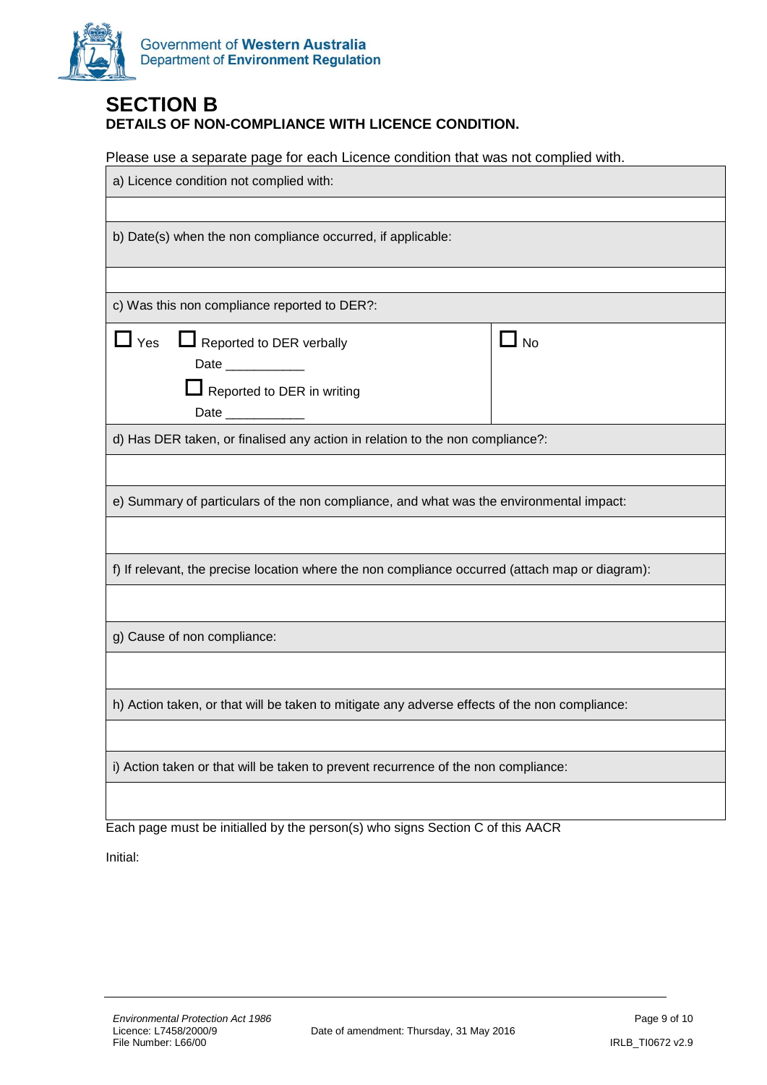

### **SECTION B DETAILS OF NON-COMPLIANCE WITH LICENCE CONDITION.**

Please use a separate page for each Licence condition that was not complied with.

| a) Licence condition not complied with:                                                                                                  |           |  |  |  |  |
|------------------------------------------------------------------------------------------------------------------------------------------|-----------|--|--|--|--|
|                                                                                                                                          |           |  |  |  |  |
| b) Date(s) when the non compliance occurred, if applicable:                                                                              |           |  |  |  |  |
|                                                                                                                                          |           |  |  |  |  |
| c) Was this non compliance reported to DER?:                                                                                             |           |  |  |  |  |
| $\mathsf{\mathord{\textsf{I}}}$ Yes<br>Reported to DER verbally<br>Date ____________<br>Reported to DER in writing<br>Date _____________ | $\Box$ No |  |  |  |  |
| d) Has DER taken, or finalised any action in relation to the non compliance?:                                                            |           |  |  |  |  |
|                                                                                                                                          |           |  |  |  |  |
| e) Summary of particulars of the non compliance, and what was the environmental impact:                                                  |           |  |  |  |  |
|                                                                                                                                          |           |  |  |  |  |
| f) If relevant, the precise location where the non compliance occurred (attach map or diagram):                                          |           |  |  |  |  |
|                                                                                                                                          |           |  |  |  |  |
| g) Cause of non compliance:                                                                                                              |           |  |  |  |  |
|                                                                                                                                          |           |  |  |  |  |
| h) Action taken, or that will be taken to mitigate any adverse effects of the non compliance:                                            |           |  |  |  |  |
|                                                                                                                                          |           |  |  |  |  |
| i) Action taken or that will be taken to prevent recurrence of the non compliance:                                                       |           |  |  |  |  |
|                                                                                                                                          |           |  |  |  |  |

Each page must be initialled by the person(s) who signs Section C of this AACR

Initial: